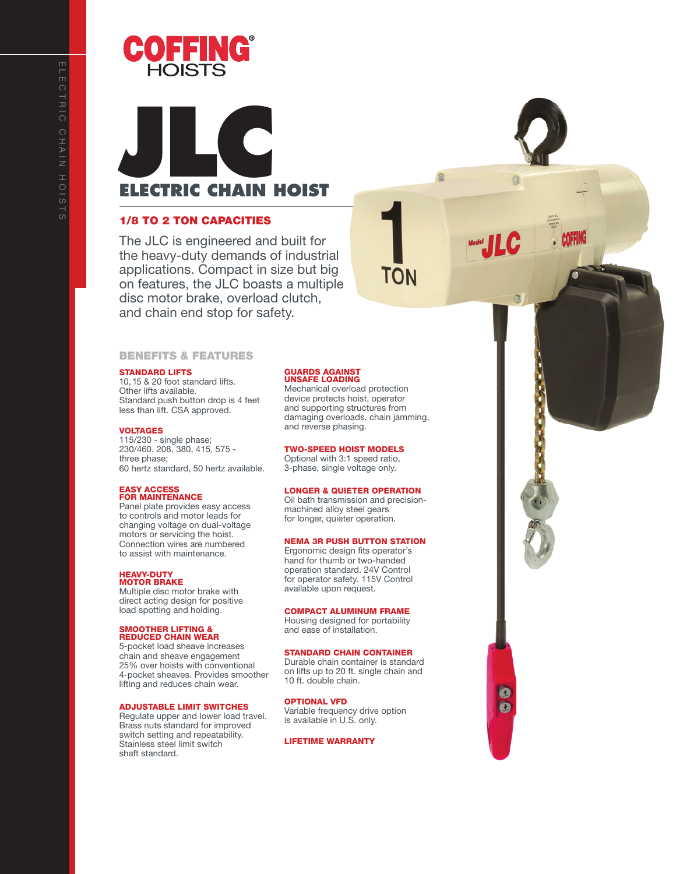

# **JLC ELECTRIC CHAIN HOIST**

# 1/8 TO 2 TON CAPACITIES

The JLC is engineered and built for the heavy-duty demands of industrial applications. Compact in size but big on features, the JLC boasts a multiple disc motor brake, overload clutch, and chain end stop for safety.

# BENEFITS & FEATURES

# STANDARD LIFTS

10, 15 & 20 foot standard lifts. Other lifts available. Standard push button drop is 4 feet less than lift. CSA approved.

#### VOLTAGES

115/230 - single phase; 230/460, 208, 380, 415, 575 three phase; 60 hertz standard, 50 hertz available.

# EASY ACCESS FOR MAINTENANCE

Panel plate provides easy access to controls and motor leads for changing voltage on dual-voltage motors or servicing the hoist. Connection wires are numbered to assist with maintenance.

# HEAVY-DUTY MOTOR BRAKE

Multiple disc motor brake with direct acting design for positive load spotting and holding.

#### SMOOTHER LIFTING & REDUCED CHAIN WEAR

5-pocket load sheave increases chain and sheave engagement 25% over hoists with conventional 4-pocket sheaves. Provides smoother lifting and reduces chain wear.

#### ADJUSTABLE LIMIT SWITCHES

Regulate upper and lower load travel. Brass nuts standard for improved switch setting and repeatability. Stainless steel limit switch shaft standard.

# GUARDS AGAINST UNSAFE LOADING

Mechanical overload protection device protects hoist, operator and supporting structures from damaging overloads, chain jamming, and reverse phasing.

ΤΟΝ

**The Property** 

 $\bullet$  $\bullet$ 

# TWO-SPEED HOIST MODELS

Optional with 3:1 speed ratio, 3-phase, single voltage only.

# LONGER & QUIETER OPERATION

Oil bath transmission and precisionmachined alloy steel gears for longer, quieter operation.

#### NEMA 3R PUSH BUTTON STATION

Ergonomic design fits operator's hand for thumb or two-handed operation standard. 24V Control for operator safety. 115V Control available upon request.

# COMPACT ALUMINUM FRAME

Housing designed for portability and ease of installation.

# STANDARD CHAIN CONTAINER

Durable chain container is standard on lifts up to 20 ft. single chain and 10 ft. double chain.

# OPTIONAL VFD

Variable frequency drive option is available in U.S. only.

#### LIFETIME WARRANTY